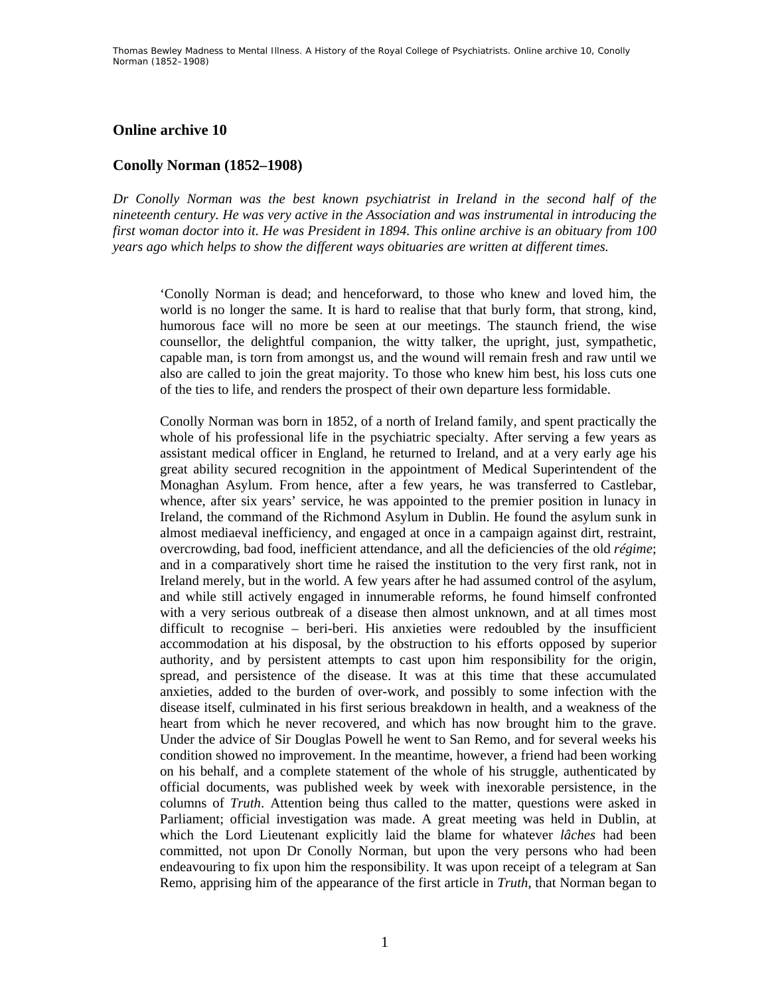## **Online archive 10**

## **Conolly Norman (1852–1908)**

*Dr Conolly Norman was the best known psychiatrist in Ireland in the second half of the nineteenth century. He was very active in the Association and was instrumental in introducing the first woman doctor into it. He was President in 1894. This online archive is an obituary from 100 years ago which helps to show the different ways obituaries are written at different times.* 

'Conolly Norman is dead; and henceforward, to those who knew and loved him, the world is no longer the same. It is hard to realise that that burly form, that strong, kind, humorous face will no more be seen at our meetings. The staunch friend, the wise counsellor, the delightful companion, the witty talker, the upright, just, sympathetic, capable man, is torn from amongst us, and the wound will remain fresh and raw until we also are called to join the great majority. To those who knew him best, his loss cuts one of the ties to life, and renders the prospect of their own departure less formidable.

Conolly Norman was born in 1852, of a north of Ireland family, and spent practically the whole of his professional life in the psychiatric specialty. After serving a few years as assistant medical officer in England, he returned to Ireland, and at a very early age his great ability secured recognition in the appointment of Medical Superintendent of the Monaghan Asylum. From hence, after a few years, he was transferred to Castlebar, whence, after six years' service, he was appointed to the premier position in lunacy in Ireland, the command of the Richmond Asylum in Dublin. He found the asylum sunk in almost mediaeval inefficiency, and engaged at once in a campaign against dirt, restraint, overcrowding, bad food, inefficient attendance, and all the deficiencies of the old *régime*; and in a comparatively short time he raised the institution to the very first rank, not in Ireland merely, but in the world. A few years after he had assumed control of the asylum, and while still actively engaged in innumerable reforms, he found himself confronted with a very serious outbreak of a disease then almost unknown, and at all times most difficult to recognise – beri-beri. His anxieties were redoubled by the insufficient accommodation at his disposal, by the obstruction to his efforts opposed by superior authority, and by persistent attempts to cast upon him responsibility for the origin, spread, and persistence of the disease. It was at this time that these accumulated anxieties, added to the burden of over-work, and possibly to some infection with the disease itself, culminated in his first serious breakdown in health, and a weakness of the heart from which he never recovered, and which has now brought him to the grave. Under the advice of Sir Douglas Powell he went to San Remo, and for several weeks his condition showed no improvement. In the meantime, however, a friend had been working on his behalf, and a complete statement of the whole of his struggle, authenticated by official documents, was published week by week with inexorable persistence, in the columns of *Truth*. Attention being thus called to the matter, questions were asked in Parliament; official investigation was made. A great meeting was held in Dublin, at which the Lord Lieutenant explicitly laid the blame for whatever *lâches* had been committed, not upon Dr Conolly Norman, but upon the very persons who had been endeavouring to fix upon him the responsibility. It was upon receipt of a telegram at San Remo, apprising him of the appearance of the first article in *Truth*, that Norman began to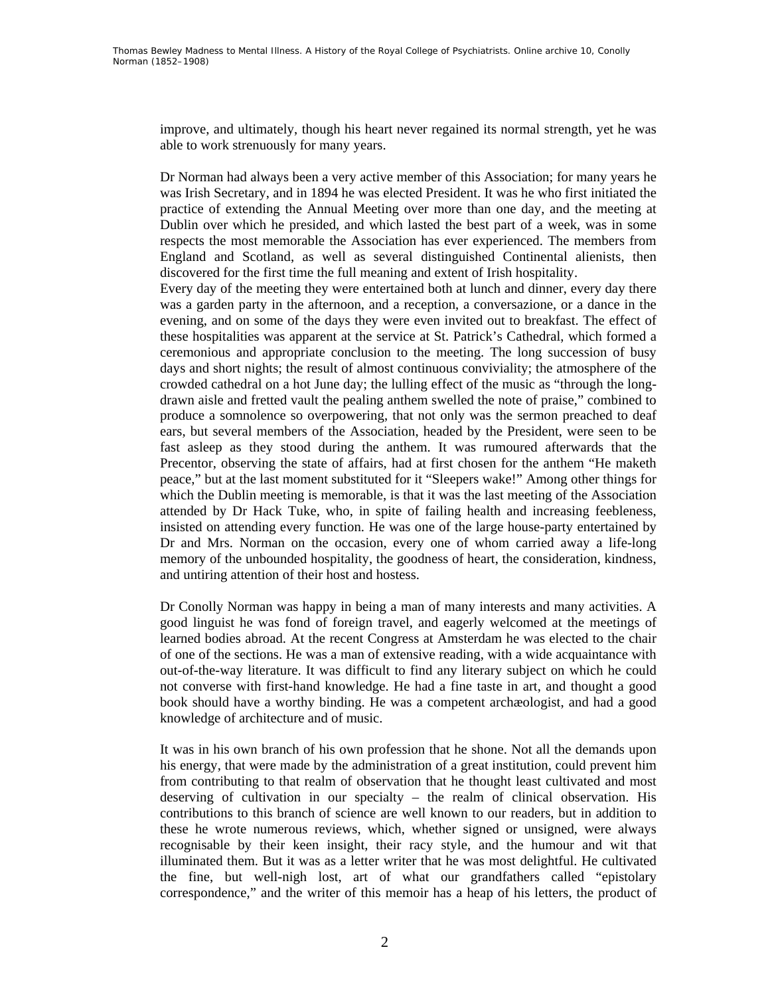improve, and ultimately, though his heart never regained its normal strength, yet he was able to work strenuously for many years.

Dr Norman had always been a very active member of this Association; for many years he was Irish Secretary, and in 1894 he was elected President. It was he who first initiated the practice of extending the Annual Meeting over more than one day, and the meeting at Dublin over which he presided, and which lasted the best part of a week, was in some respects the most memorable the Association has ever experienced. The members from England and Scotland, as well as several distinguished Continental alienists, then discovered for the first time the full meaning and extent of Irish hospitality.

Every day of the meeting they were entertained both at lunch and dinner, every day there was a garden party in the afternoon, and a reception, a conversazione, or a dance in the evening, and on some of the days they were even invited out to breakfast. The effect of these hospitalities was apparent at the service at St. Patrick's Cathedral, which formed a ceremonious and appropriate conclusion to the meeting. The long succession of busy days and short nights; the result of almost continuous conviviality; the atmosphere of the crowded cathedral on a hot June day; the lulling effect of the music as "through the longdrawn aisle and fretted vault the pealing anthem swelled the note of praise," combined to produce a somnolence so overpowering, that not only was the sermon preached to deaf ears, but several members of the Association, headed by the President, were seen to be fast asleep as they stood during the anthem. It was rumoured afterwards that the Precentor, observing the state of affairs, had at first chosen for the anthem "He maketh peace," but at the last moment substituted for it "Sleepers wake!" Among other things for which the Dublin meeting is memorable, is that it was the last meeting of the Association attended by Dr Hack Tuke, who, in spite of failing health and increasing feebleness, insisted on attending every function. He was one of the large house-party entertained by Dr and Mrs. Norman on the occasion, every one of whom carried away a life-long memory of the unbounded hospitality, the goodness of heart, the consideration, kindness, and untiring attention of their host and hostess.

Dr Conolly Norman was happy in being a man of many interests and many activities. A good linguist he was fond of foreign travel, and eagerly welcomed at the meetings of learned bodies abroad. At the recent Congress at Amsterdam he was elected to the chair of one of the sections. He was a man of extensive reading, with a wide acquaintance with out-of-the-way literature. It was difficult to find any literary subject on which he could not converse with first-hand knowledge. He had a fine taste in art, and thought a good book should have a worthy binding. He was a competent archæologist, and had a good knowledge of architecture and of music.

It was in his own branch of his own profession that he shone. Not all the demands upon his energy, that were made by the administration of a great institution, could prevent him from contributing to that realm of observation that he thought least cultivated and most deserving of cultivation in our specialty – the realm of clinical observation. His contributions to this branch of science are well known to our readers, but in addition to these he wrote numerous reviews, which, whether signed or unsigned, were always recognisable by their keen insight, their racy style, and the humour and wit that illuminated them. But it was as a letter writer that he was most delightful. He cultivated the fine, but well-nigh lost, art of what our grandfathers called "epistolary correspondence," and the writer of this memoir has a heap of his letters, the product of